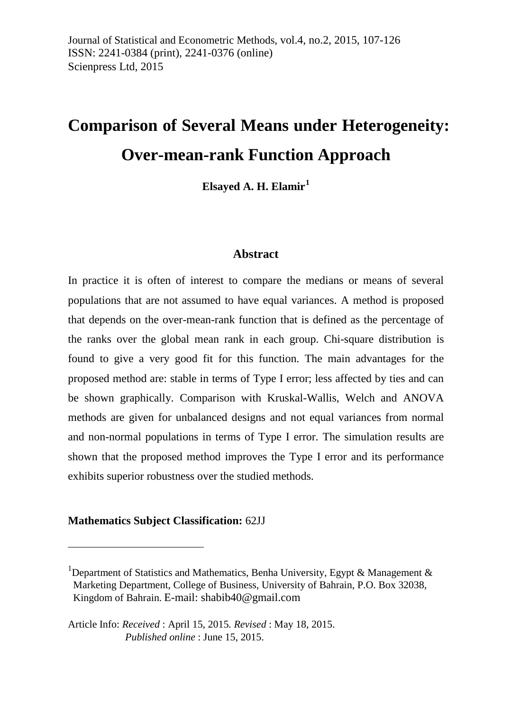# **Comparison of Several Means under Heterogeneity: Over-mean-rank Function Approach**

**Elsayed A. H. Elamir[1](#page-0-0)**

#### **Abstract**

In practice it is often of interest to compare the medians or means of several populations that are not assumed to have equal variances. A method is proposed that depends on the over-mean-rank function that is defined as the percentage of the ranks over the global mean rank in each group. Chi-square distribution is found to give a very good fit for this function. The main advantages for the proposed method are: stable in terms of Type I error; less affected by ties and can be shown graphically. Comparison with Kruskal-Wallis, Welch and ANOVA methods are given for unbalanced designs and not equal variances from normal and non-normal populations in terms of Type I error. The simulation results are shown that the proposed method improves the Type I error and its performance exhibits superior robustness over the studied methods.

#### **Mathematics Subject Classification:** 62JJ

<u>.</u>

<span id="page-0-0"></span><sup>&</sup>lt;sup>1</sup>Department of Statistics and Mathematics, Benha University, Egypt & Management & Marketing Department, College of Business, University of Bahrain, P.O. Box 32038, Kingdom of Bahrain. E-mail: [shabib40@gmail.com](mailto:shabib40@gmail.com)

Article Info: *Received* : April 15, 2015*. Revised* : May 18, 2015. *Published online* : June 15, 2015.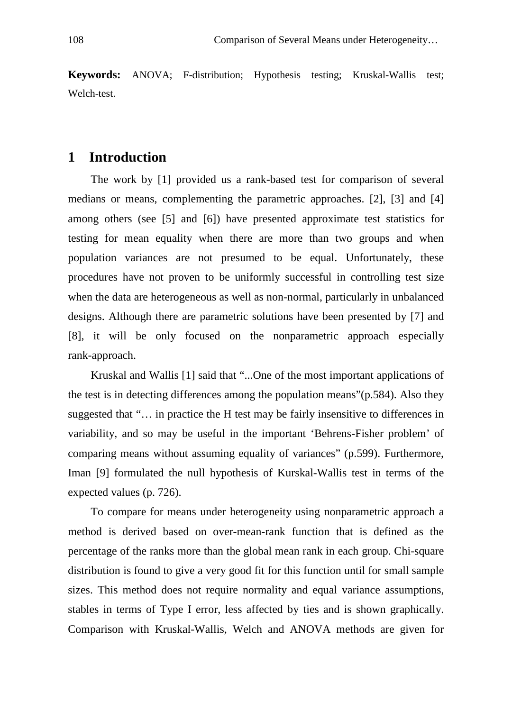**Keywords:** ANOVA; F-distribution; Hypothesis testing; Kruskal-Wallis test; Welch-test.

#### **1 Introduction**

The work by [1] provided us a rank-based test for comparison of several medians or means, complementing the parametric approaches. [2], [3] and [4] among others (see [5] and [6]) have presented approximate test statistics for testing for mean equality when there are more than two groups and when population variances are not presumed to be equal. Unfortunately, these procedures have not proven to be uniformly successful in controlling test size when the data are heterogeneous as well as non-normal, particularly in unbalanced designs. Although there are parametric solutions have been presented by [7] and [8], it will be only focused on the nonparametric approach especially rank-approach.

Kruskal and Wallis [1] said that "...One of the most important applications of the test is in detecting differences among the population means"(p.584). Also they suggested that "… in practice the H test may be fairly insensitive to differences in variability, and so may be useful in the important 'Behrens-Fisher problem' of comparing means without assuming equality of variances" (p.599). Furthermore, Iman [9] formulated the null hypothesis of Kurskal-Wallis test in terms of the expected values (p. 726).

To compare for means under heterogeneity using nonparametric approach a method is derived based on over-mean-rank function that is defined as the percentage of the ranks more than the global mean rank in each group. Chi-square distribution is found to give a very good fit for this function until for small sample sizes. This method does not require normality and equal variance assumptions, stables in terms of Type I error, less affected by ties and is shown graphically. Comparison with Kruskal-Wallis, Welch and ANOVA methods are given for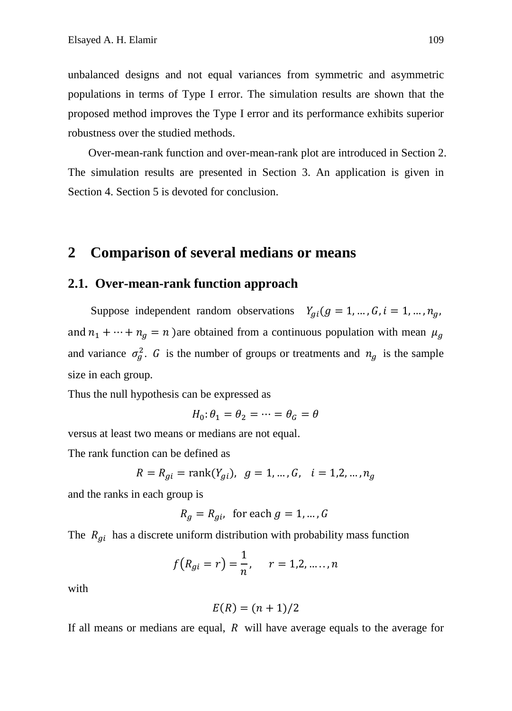unbalanced designs and not equal variances from symmetric and asymmetric populations in terms of Type I error. The simulation results are shown that the proposed method improves the Type I error and its performance exhibits superior robustness over the studied methods.

Over-mean-rank function and over-mean-rank plot are introduced in Section 2. The simulation results are presented in Section 3. An application is given in Section 4. Section 5 is devoted for conclusion.

## **2 Comparison of several medians or means**

#### **2.1. Over-mean-rank function approach**

Suppose independent random observations  $Y_{qi}(g = 1, ..., G, i = 1, ..., n_g,$ and  $n_1 + \cdots + n_g = n$  )are obtained from a continuous population with mean  $\mu_g$ and variance  $\sigma_g^2$ . G is the number of groups or treatments and  $n_g$  is the sample size in each group.

Thus the null hypothesis can be expressed as

$$
H_0: \theta_1 = \theta_2 = \dots = \theta_G = \theta
$$

versus at least two means or medians are not equal.

The rank function can be defined as

$$
R = R_{gi} = \text{rank}(Y_{gi}), \ g = 1, \dots, G, \ i = 1, 2, \dots, n_g
$$

and the ranks in each group is

$$
R_g = R_{gi}, \text{ for each } g = 1, \dots, G
$$

The  $R_{gi}$  has a discrete uniform distribution with probability mass function

$$
f(R_{gi} = r) = \frac{1}{n}, \quad r = 1, 2, \dots, n
$$

with

$$
E(R)=(n+1)/2
$$

If all means or medians are equal,  $R$  will have average equals to the average for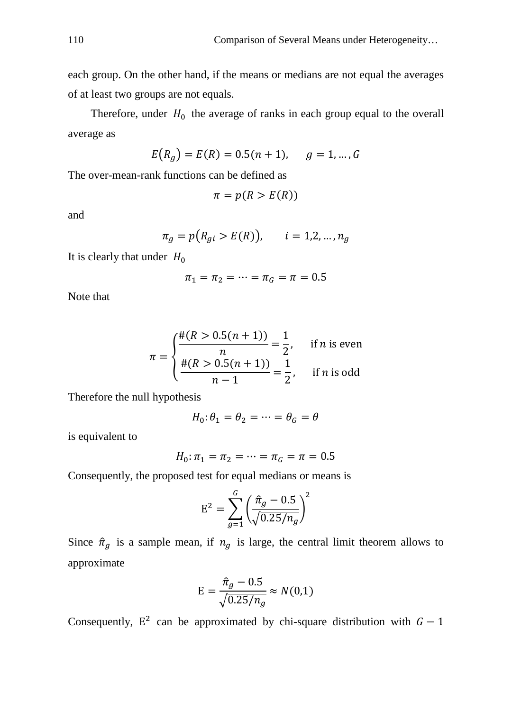each group. On the other hand, if the means or medians are not equal the averages of at least two groups are not equals.

Therefore, under  $H_0$  the average of ranks in each group equal to the overall average as

$$
E(R_g) = E(R) = 0.5(n + 1), \quad g = 1, ..., G
$$

The over-mean-rank functions can be defined as

$$
\pi = p(R > E(R))
$$

and

$$
\pi_g = p(R_{gi} > E(R)), \quad i = 1, 2, ..., n_g
$$

It is clearly that under  $H_0$ 

$$
\pi_1 = \pi_2 = \dots = \pi_G = \pi = 0.5
$$

Note that

$$
\pi = \begin{cases} \frac{\#(R > 0.5(n+1))}{n} = \frac{1}{2}, & \text{if } n \text{ is even} \\ \frac{\#(R > 0.5(n+1))}{n-1} = \frac{1}{2}, & \text{if } n \text{ is odd} \end{cases}
$$

Therefore the null hypothesis

$$
H_0: \theta_1 = \theta_2 = \dots = \theta_G = \theta
$$

is equivalent to

$$
H_0: \pi_1 = \pi_2 = \dots = \pi_G = \pi = 0.5
$$

Consequently, the proposed test for equal medians or means is

$$
E^{2} = \sum_{g=1}^{G} \left( \frac{\hat{\pi}_{g} - 0.5}{\sqrt{0.25/n_{g}}} \right)^{2}
$$

Since  $\hat{\pi}_q$  is a sample mean, if  $n_q$  is large, the central limit theorem allows to approximate

$$
E = \frac{\hat{\pi}_g - 0.5}{\sqrt{0.25/n_g}} \approx N(0.1)
$$

Consequently,  $E^2$  can be approximated by chi-square distribution with  $G - 1$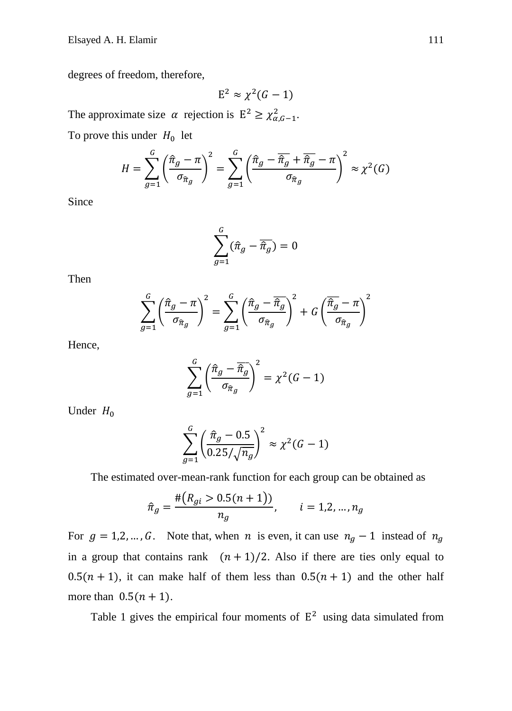degrees of freedom, therefore,

 $E^2 \approx \chi^2(G-1)$ The approximate size  $\alpha$  rejection is  $E^2 \geq \chi^2_{\alpha, G-1}$ .

To prove this under  $H_0$  let

$$
H = \sum_{g=1}^{G} \left(\frac{\hat{\pi}_g - \pi}{\sigma_{\hat{\pi}_g}}\right)^2 = \sum_{g=1}^{G} \left(\frac{\hat{\pi}_g - \overline{\hat{\pi}_g} + \overline{\hat{\pi}_g} - \pi}{\sigma_{\hat{\pi}_g}}\right)^2 \approx \chi^2(G)
$$

Since

$$
\sum_{g=1}^G (\hat{\pi}_g - \overline{\hat{\pi}_g}) = 0
$$

Then

$$
\sum_{g=1}^{G} \left( \frac{\hat{\pi}_g - \pi}{\sigma_{\hat{\pi}_g}} \right)^2 = \sum_{g=1}^{G} \left( \frac{\hat{\pi}_g - \overline{\hat{\pi}_g}}{\sigma_{\hat{\pi}_g}} \right)^2 + G \left( \frac{\overline{\hat{\pi}_g} - \pi}{\sigma_{\hat{\pi}_g}} \right)^2
$$

Hence,

$$
\sum_{g=1}^{G} \left( \frac{\hat{\pi}_g - \overline{\hat{\pi}_g}}{\sigma_{\hat{\pi}_g}} \right)^2 = \chi^2(G-1)
$$

Under  $H_0$ 

$$
\sum_{g=1}^{G} \left( \frac{\hat{\pi}_g - 0.5}{0.25 / \sqrt{n_g}} \right)^2 \approx \chi^2 (G - 1)
$$

The estimated over-mean-rank function for each group can be obtained as

$$
\hat{\pi}_g = \frac{\#(R_{gi} > 0.5(n+1))}{n_g}, \qquad i = 1, 2, ..., n_g
$$

For  $g = 1, 2, ..., G$ . Note that, when *n* is even, it can use  $n_g - 1$  instead of  $n_g$ in a group that contains rank  $(n + 1)/2$ . Also if there are ties only equal to  $0.5(n + 1)$ , it can make half of them less than  $0.5(n + 1)$  and the other half more than  $0.5(n + 1)$ .

Table 1 gives the empirical four moments of  $E^2$  using data simulated from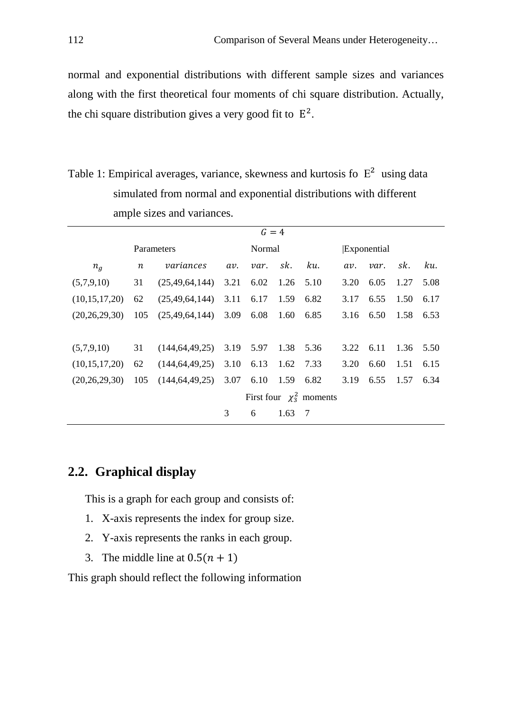normal and exponential distributions with different sample sizes and variances along with the first theoretical four moments of chi square distribution. Actually, the chi square distribution gives a very good fit to  $E^2$ .

Table 1: Empirical averages, variance, skewness and kurtosis fo  $E^2$  using data simulated from normal and exponential distributions with different ample sizes and variances.

|                  | $G = 4$                     |                                         |        |      |                |     |             |                |      |      |
|------------------|-----------------------------|-----------------------------------------|--------|------|----------------|-----|-------------|----------------|------|------|
|                  | Parameters                  |                                         | Normal |      |                |     | Exponential |                |      |      |
| $n_a$            | $\boldsymbol{n}$            | variances                               | av.    | var. | sk.            | ku. | av.         | var.           | sk.  | ku.  |
| (5,7,9,10)       | 31                          | (25, 49, 64, 144)                       | 3.21   | 6.02 | $1.26$ 5.10    |     | 3.20        | 6.05           | 1.27 | 5.08 |
| (10,15,17,20)    | 62                          | $(25,49,64,144)$ 3.11 6.17              |        |      | 1.59 6.82      |     | 3.17        | 6.55           | 1.50 | 6.17 |
| (20, 26, 29, 30) | 105                         | $(25, 49, 64, 144)$ 3.09                |        | 6.08 | 1.60 6.85      |     |             | 3.16 6.50      | 1.58 | 6.53 |
|                  |                             |                                         |        |      |                |     |             |                |      |      |
| (5,7,9,10)       | 31                          | $(144, 64, 49, 25)$ 3.19 5.97 1.38 5.36 |        |      |                |     | 3.22        | 6.11 1.36 5.50 |      |      |
| (10,15,17,20)    | 62                          | $(144, 64, 49, 25)$ 3.10 6.13 1.62 7.33 |        |      |                |     | 3.20        | 6.60           | 1.51 | 6.15 |
| (20, 26, 29, 30) | 105                         | $(144, 64, 49, 25)$ 3.07 6.10 1.59 6.82 |        |      |                |     | 3.19        | 6.55           | 1.57 | 6.34 |
|                  | First four $\chi^2$ moments |                                         |        |      |                |     |             |                |      |      |
|                  |                             |                                         | 3      | 6    | $1.63 \quad 7$ |     |             |                |      |      |

## **2.2. Graphical display**

This is a graph for each group and consists of:

- 1. X-axis represents the index for group size.
- 2. Y-axis represents the ranks in each group.
- 3. The middle line at  $0.5(n + 1)$

This graph should reflect the following information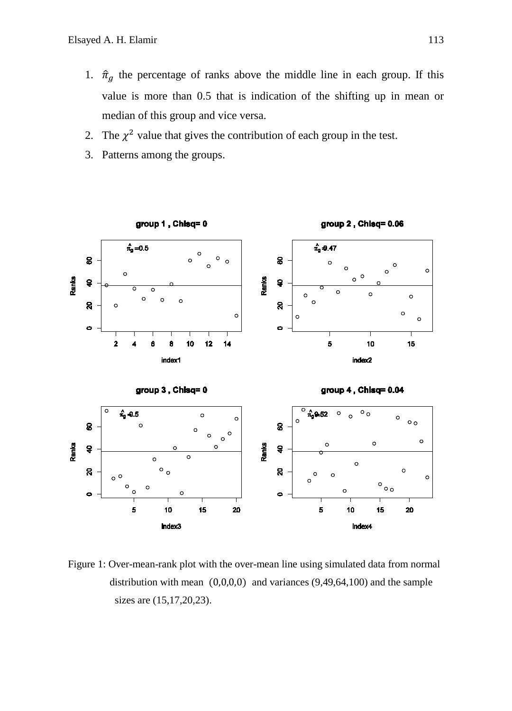- 1.  $\hat{\pi}_g$  the percentage of ranks above the middle line in each group. If this value is more than 0.5 that is indication of the shifting up in mean or median of this group and vice versa.
- 2. The  $\chi^2$  value that gives the contribution of each group in the test.
- 3. Patterns among the groups.



Figure 1: Over-mean-rank plot with the over-mean line using simulated data from normal distribution with mean  $(0,0,0,0)$  and variances  $(9,49,64,100)$  and the sample sizes are (15,17,20,23).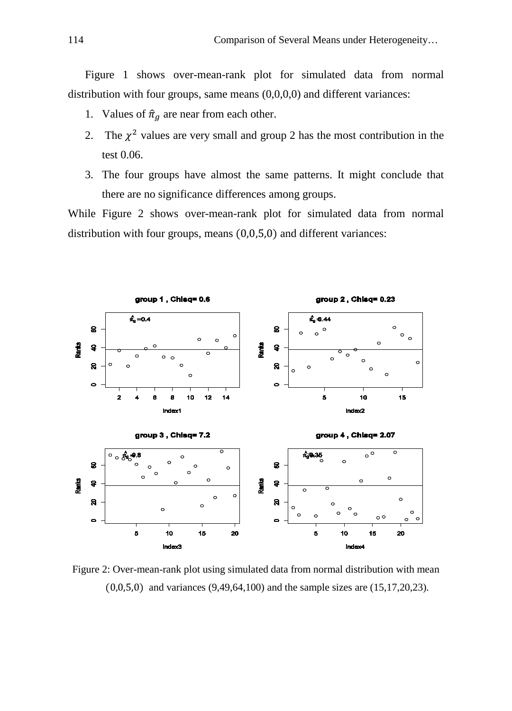Figure 1 shows over-mean-rank plot for simulated data from normal distribution with four groups, same means  $(0,0,0,0)$  and different variances:

- 1. Values of  $\hat{\pi}_a$  are near from each other.
- 2. The  $\chi^2$  values are very small and group 2 has the most contribution in the test 0.06.
- 3. The four groups have almost the same patterns. It might conclude that there are no significance differences among groups.

While Figure 2 shows over-mean-rank plot for simulated data from normal distribution with four groups, means (0,0,5,0) and different variances:



Figure 2: Over-mean-rank plot using simulated data from normal distribution with mean (0,0,5,0) and variances (9,49,64,100) and the sample sizes are (15,17,20,23).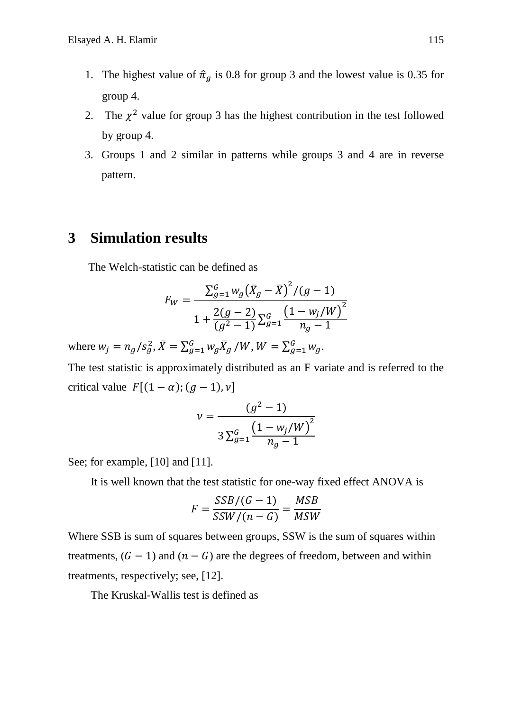- 1. The highest value of  $\hat{\pi}_g$  is 0.8 for group 3 and the lowest value is 0.35 for group 4.
- 2. The  $\chi^2$  value for group 3 has the highest contribution in the test followed by group 4.
- 3. Groups 1 and 2 similar in patterns while groups 3 and 4 are in reverse pattern.

# **3 Simulation results**

The Welch-statistic can be defined as

$$
F_W = \frac{\sum_{g=1}^{G} w_g (\bar{X}_g - \bar{X})^2 / (g - 1)}{1 + \frac{2(g - 2)}{(g^2 - 1)} \sum_{g=1}^{G} \frac{(1 - w_j/W)^2}{n_g - 1}}
$$

where  $w_j = n_g / s_g^2$ ,  $\bar{X} = \sum_{g=1}^G w_g \bar{X}_g / W$ ,  $W = \sum_{g=1}^G w_g$ .

The test statistic is approximately distributed as an F variate and is referred to the critical value  $F[(1 - \alpha); (g - 1), v]$ 

$$
\nu = \frac{(g^2 - 1)}{3 \sum_{g=1}^{G} \frac{(1 - w_j/W)^2}{n_g - 1}}
$$

See; for example, [10] and [11].

It is well known that the test statistic for one-way fixed effect ANOVA is

$$
F = \frac{SSB/(G-1)}{SSW/(n-G)} = \frac{MSB}{MSW}
$$

Where SSB is sum of squares between groups, SSW is the sum of squares within treatments,  $(G - 1)$  and  $(n - G)$  are the degrees of freedom, between and within treatments, respectively; see, [12].

The Kruskal-Wallis test is defined as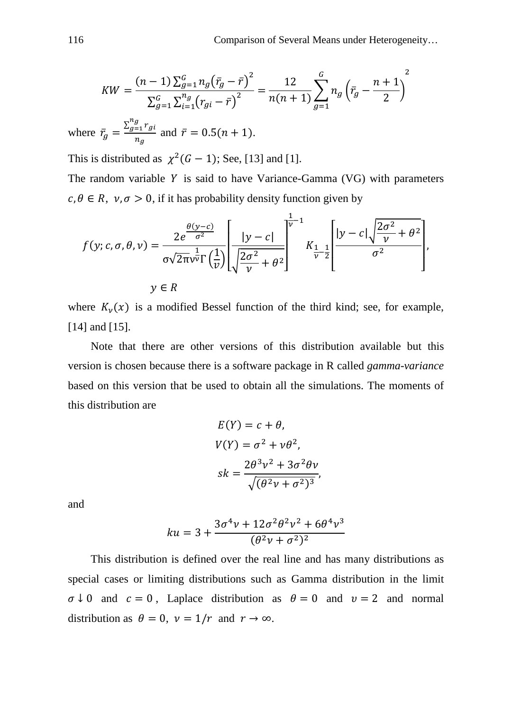$$
KW = \frac{(n-1)\sum_{g=1}^{G} n_g(\bar{r}_g - \bar{r})^2}{\sum_{g=1}^{G} \sum_{i=1}^{n_g} (r_{gi} - \bar{r})^2} = \frac{12}{n(n+1)} \sum_{g=1}^{G} n_g \left(\bar{r}_g - \frac{n+1}{2}\right)^2
$$
  
where  $\bar{r}_g = \frac{\sum_{g=1}^{n_g} r_{gi}}{n_g}$  and  $\bar{r} = 0.5(n+1)$ .

This is distributed as  $\chi^2(G-1)$ ; See, [13] and [1].

The random variable  $Y$  is said to have Variance-Gamma (VG) with parameters  $c, \theta \in R$ ,  $v, \sigma > 0$ , if it has probability density function given by

$$
f(y; c, \sigma, \theta, \nu) = \frac{2e^{\frac{\theta(y-c)}{\sigma^2}}}{\sigma\sqrt{2\pi\nu v}} \left[ \frac{|y-c|}{\sqrt{\frac{2\sigma^2}{\nu} + \theta^2}} \right]^{1/2} K_{\frac{1}{\nu}-\frac{1}{2}} \left[ \frac{|y-c|\sqrt{\frac{2\sigma^2}{\nu} + \theta^2}}{\sigma^2} \right],
$$
  

$$
y \in R
$$

where  $K_v(x)$  is a modified Bessel function of the third kind; see, for example, [14] and [15].

Note that there are other versions of this distribution available but this version is chosen because there is a software package in R called *gamma-variance* based on this version that be used to obtain all the simulations. The moments of this distribution are

$$
E(Y) = c + \theta,
$$
  
\n
$$
V(Y) = \sigma^2 + \nu \theta^2,
$$
  
\n
$$
sk = \frac{2\theta^3 \nu^2 + 3\sigma^2 \theta \nu}{\sqrt{(\theta^2 \nu + \sigma^2)^3}},
$$

and

$$
ku = 3 + \frac{3\sigma^4 \nu + 12\sigma^2 \theta^2 \nu^2 + 6\theta^4 \nu^3}{(\theta^2 \nu + \sigma^2)^2}
$$

This distribution is defined over the real line and has many distributions as special cases or limiting distributions such as Gamma distribution in the limit  $\sigma \downarrow 0$  and  $c = 0$ , Laplace distribution as  $\theta = 0$  and  $v = 2$  and normal distribution as  $\theta = 0$ ,  $\nu = 1/r$  and  $r \to \infty$ .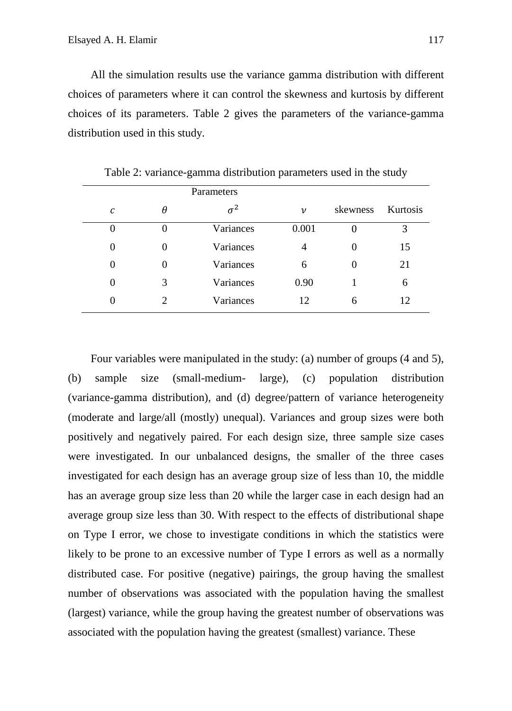All the simulation results use the variance gamma distribution with different choices of parameters where it can control the skewness and kurtosis by different choices of its parameters. Table 2 gives the parameters of the variance-gamma distribution used in this study.

|          |   | Parameters |                    |          |          |
|----------|---|------------|--------------------|----------|----------|
| С        | θ | $\sigma^2$ | $\boldsymbol{\nu}$ | skewness | Kurtosis |
| $\theta$ |   | Variances  | 0.001              | 0        | 3        |
| 0        | 0 | Variances  | 4                  | $\theta$ | 15       |
| 0        | 0 | Variances  | 6                  | 0        | 21       |
| $\theta$ | 3 | Variances  | 0.90               |          | 6        |
| 0        |   | Variances  | 12                 | 6        | 12       |

Table 2: variance-gamma distribution parameters used in the study

Four variables were manipulated in the study: (a) number of groups (4 and 5), (b) sample size (small-medium- large), (c) population distribution (variance-gamma distribution), and (d) degree/pattern of variance heterogeneity (moderate and large/all (mostly) unequal). Variances and group sizes were both positively and negatively paired. For each design size, three sample size cases were investigated. In our unbalanced designs, the smaller of the three cases investigated for each design has an average group size of less than 10, the middle has an average group size less than 20 while the larger case in each design had an average group size less than 30. With respect to the effects of distributional shape on Type I error, we chose to investigate conditions in which the statistics were likely to be prone to an excessive number of Type I errors as well as a normally distributed case. For positive (negative) pairings, the group having the smallest number of observations was associated with the population having the smallest (largest) variance, while the group having the greatest number of observations was associated with the population having the greatest (smallest) variance. These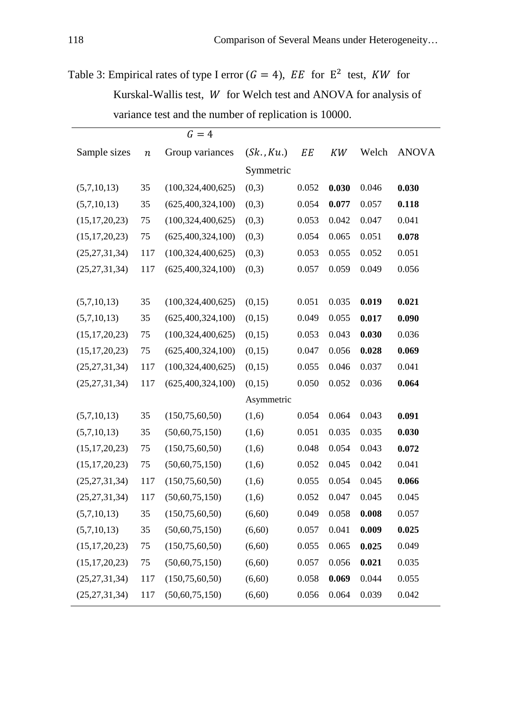Table 3: Empirical rates of type I error ( $G = 4$ ),  $EE$  for  $E^2$  test,  $KW$  for Kurskal-Wallis test,  $W$  for Welch test and ANOVA for analysis of variance test and the number of replication is 10000.

|                  |                  | $G=4$                |            |                  |       |       |              |
|------------------|------------------|----------------------|------------|------------------|-------|-------|--------------|
| Sample sizes     | $\boldsymbol{n}$ | Group variances      | (Sk., Ku.) | $\cal{E}\cal{E}$ | KW    | Welch | <b>ANOVA</b> |
|                  |                  |                      | Symmetric  |                  |       |       |              |
| (5,7,10,13)      | 35               | (100, 324, 400, 625) | (0,3)      | 0.052            | 0.030 | 0.046 | 0.030        |
| (5,7,10,13)      | 35               | (625, 400, 324, 100) | (0,3)      | 0.054            | 0.077 | 0.057 | 0.118        |
| (15, 17, 20, 23) | 75               | (100, 324, 400, 625) | (0,3)      | 0.053            | 0.042 | 0.047 | 0.041        |
| (15, 17, 20, 23) | 75               | (625, 400, 324, 100) | (0,3)      | 0.054            | 0.065 | 0.051 | 0.078        |
| (25, 27, 31, 34) | 117              | (100, 324, 400, 625) | (0,3)      | 0.053            | 0.055 | 0.052 | 0.051        |
| (25, 27, 31, 34) | 117              | (625, 400, 324, 100) | (0,3)      | 0.057            | 0.059 | 0.049 | 0.056        |
|                  |                  |                      |            |                  |       |       |              |
| (5,7,10,13)      | 35               | (100, 324, 400, 625) | (0,15)     | 0.051            | 0.035 | 0.019 | 0.021        |
| (5,7,10,13)      | 35               | (625, 400, 324, 100) | (0,15)     | 0.049            | 0.055 | 0.017 | 0.090        |
| (15, 17, 20, 23) | 75               | (100, 324, 400, 625) | (0,15)     | 0.053            | 0.043 | 0.030 | 0.036        |
| (15, 17, 20, 23) | 75               | (625, 400, 324, 100) | (0,15)     | 0.047            | 0.056 | 0.028 | 0.069        |
| (25, 27, 31, 34) | 117              | (100, 324, 400, 625) | (0,15)     | 0.055            | 0.046 | 0.037 | 0.041        |
| (25, 27, 31, 34) | 117              | (625, 400, 324, 100) | (0,15)     | 0.050            | 0.052 | 0.036 | 0.064        |
|                  |                  |                      | Asymmetric |                  |       |       |              |
| (5,7,10,13)      | 35               | (150, 75, 60, 50)    | (1,6)      | 0.054            | 0.064 | 0.043 | 0.091        |
| (5,7,10,13)      | 35               | (50,60,75,150)       | (1,6)      | 0.051            | 0.035 | 0.035 | 0.030        |
| (15, 17, 20, 23) | 75               | (150, 75, 60, 50)    | (1,6)      | 0.048            | 0.054 | 0.043 | 0.072        |
| (15, 17, 20, 23) | 75               | (50,60,75,150)       | (1,6)      | 0.052            | 0.045 | 0.042 | 0.041        |
| (25, 27, 31, 34) | 117              | (150, 75, 60, 50)    | (1,6)      | 0.055            | 0.054 | 0.045 | 0.066        |
| (25, 27, 31, 34) | 117              | (50,60,75,150)       | (1,6)      | 0.052            | 0.047 | 0.045 | 0.045        |
| (5,7,10,13)      | 35               | (150, 75, 60, 50)    | (6,60)     | 0.049            | 0.058 | 0.008 | 0.057        |
| (5,7,10,13)      | 35               | (50,60,75,150)       | (6,60)     | 0.057            | 0.041 | 0.009 | 0.025        |
| (15, 17, 20, 23) | 75               | (150, 75, 60, 50)    | (6,60)     | 0.055            | 0.065 | 0.025 | 0.049        |
| (15, 17, 20, 23) | 75               | (50,60,75,150)       | (6, 60)    | 0.057            | 0.056 | 0.021 | 0.035        |
| (25, 27, 31, 34) | 117              | (150, 75, 60, 50)    | (6,60)     | 0.058            | 0.069 | 0.044 | 0.055        |
| (25, 27, 31, 34) | 117              | (50,60,75,150)       | (6, 60)    | 0.056            | 0.064 | 0.039 | 0.042        |
|                  |                  |                      |            |                  |       |       |              |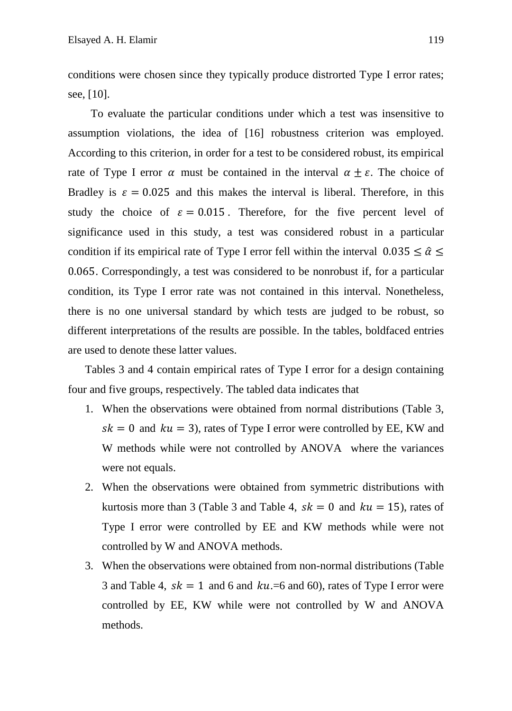conditions were chosen since they typically produce distrorted Type I error rates; see, [10].

To evaluate the particular conditions under which a test was insensitive to assumption violations, the idea of [16] robustness criterion was employed. According to this criterion, in order for a test to be considered robust, its empirical rate of Type I error  $\alpha$  must be contained in the interval  $\alpha \pm \varepsilon$ . The choice of Bradley is  $\varepsilon = 0.025$  and this makes the interval is liberal. Therefore, in this study the choice of  $\varepsilon = 0.015$ . Therefore, for the five percent level of significance used in this study, a test was considered robust in a particular condition if its empirical rate of Type I error fell within the interval  $0.035 \le \hat{\alpha} \le$ 0.065. Correspondingly, a test was considered to be nonrobust if, for a particular condition, its Type I error rate was not contained in this interval. Nonetheless, there is no one universal standard by which tests are judged to be robust, so different interpretations of the results are possible. In the tables, boldfaced entries are used to denote these latter values.

Tables 3 and 4 contain empirical rates of Type I error for a design containing four and five groups, respectively. The tabled data indicates that

- 1. When the observations were obtained from normal distributions (Table 3,  $sk = 0$  and  $ku = 3$ ), rates of Type I error were controlled by EE, KW and W methods while were not controlled by ANOVA where the variances were not equals.
- 2. When the observations were obtained from symmetric distributions with kurtosis more than 3 (Table 3 and Table 4,  $sk = 0$  and  $ku = 15$ ), rates of Type I error were controlled by EE and KW methods while were not controlled by W and ANOVA methods.
- 3. When the observations were obtained from non-normal distributions (Table 3 and Table 4,  $sk = 1$  and 6 and  $ku = 6$  and 60), rates of Type I error were controlled by EE, KW while were not controlled by W and ANOVA methods.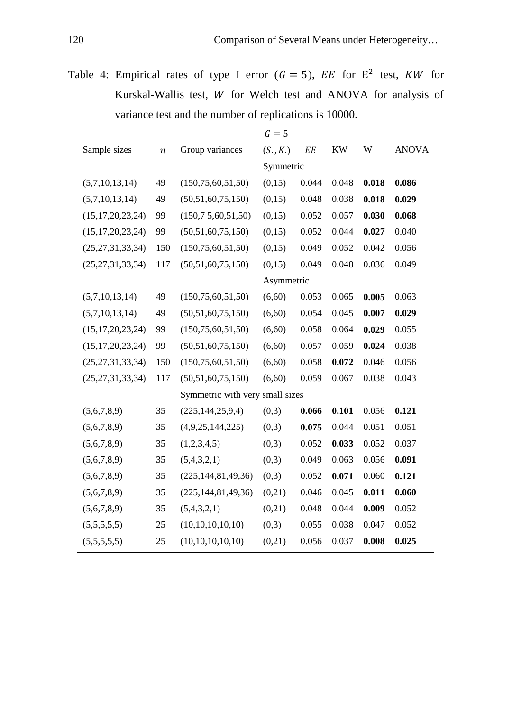Table 4: Empirical rates of type I error  $(G = 5)$ ,  $EE$  for  $E^2$  test,  $KW$  for Kurskal-Wallis test,  $W$  for Welch test and ANOVA for analysis of variance test and the number of replications is 10000.

|                      |                  |                                 | $G=5$      |       |           |       |              |
|----------------------|------------------|---------------------------------|------------|-------|-----------|-------|--------------|
| Sample sizes         | $\boldsymbol{n}$ | Group variances                 | (S., K.)   | EE    | <b>KW</b> | W     | <b>ANOVA</b> |
|                      |                  |                                 | Symmetric  |       |           |       |              |
| (5,7,10,13,14)       | 49               | (150, 75, 60, 51, 50)           | (0,15)     | 0.044 | 0.048     | 0.018 | 0.086        |
| (5,7,10,13,14)       | 49               | (50,51,60,75,150)               | (0,15)     | 0.048 | 0.038     | 0.018 | 0.029        |
| (15, 17, 20, 23, 24) | 99               | (150, 75, 60, 51, 50)           | (0,15)     | 0.052 | 0.057     | 0.030 | 0.068        |
| (15, 17, 20, 23, 24) | 99               | (50,51,60,75,150)               | (0,15)     | 0.052 | 0.044     | 0.027 | 0.040        |
| (25, 27, 31, 33, 34) | 150              | (150, 75, 60, 51, 50)           | (0,15)     | 0.049 | 0.052     | 0.042 | 0.056        |
| (25, 27, 31, 33, 34) | 117              | (50,51,60,75,150)               | (0,15)     | 0.049 | 0.048     | 0.036 | 0.049        |
|                      |                  |                                 | Asymmetric |       |           |       |              |
| (5,7,10,13,14)       | 49               | (150, 75, 60, 51, 50)           | (6,60)     | 0.053 | 0.065     | 0.005 | 0.063        |
| (5,7,10,13,14)       | 49               | (50,51,60,75,150)               | (6,60)     | 0.054 | 0.045     | 0.007 | 0.029        |
| (15, 17, 20, 23, 24) | 99               | (150, 75, 60, 51, 50)           | (6,60)     | 0.058 | 0.064     | 0.029 | 0.055        |
| (15, 17, 20, 23, 24) | 99               | (50,51,60,75,150)               | (6,60)     | 0.057 | 0.059     | 0.024 | 0.038        |
| (25, 27, 31, 33, 34) | 150              | (150, 75, 60, 51, 50)           | (6,60)     | 0.058 | 0.072     | 0.046 | 0.056        |
| (25, 27, 31, 33, 34) | 117              | (50,51,60,75,150)               | (6,60)     | 0.059 | 0.067     | 0.038 | 0.043        |
|                      |                  | Symmetric with very small sizes |            |       |           |       |              |
| (5,6,7,8,9)          | 35               | (225, 144, 25, 9, 4)            | (0,3)      | 0.066 | 0.101     | 0.056 | 0.121        |
| (5,6,7,8,9)          | 35               | (4,9,25,144,225)                | (0,3)      | 0.075 | 0.044     | 0.051 | 0.051        |
| (5,6,7,8,9)          | 35               | (1,2,3,4,5)                     | (0,3)      | 0.052 | 0.033     | 0.052 | 0.037        |
| (5,6,7,8,9)          | 35               | (5,4,3,2,1)                     | (0,3)      | 0.049 | 0.063     | 0.056 | 0.091        |
| (5,6,7,8,9)          | 35               | (225, 144, 81, 49, 36)          | (0,3)      | 0.052 | 0.071     | 0.060 | 0.121        |
| (5,6,7,8,9)          | 35               | (225, 144, 81, 49, 36)          | (0,21)     | 0.046 | 0.045     | 0.011 | 0.060        |
| (5,6,7,8,9)          | 35               | (5,4,3,2,1)                     | (0,21)     | 0.048 | 0.044     | 0.009 | 0.052        |
| (5,5,5,5,5)          | 25               | (10,10,10,10,10)                | (0,3)      | 0.055 | 0.038     | 0.047 | 0.052        |
| (5,5,5,5,5)          | 25               | (10,10,10,10,10)                | (0,21)     | 0.056 | 0.037     | 0.008 | 0.025        |
|                      |                  |                                 |            |       |           |       |              |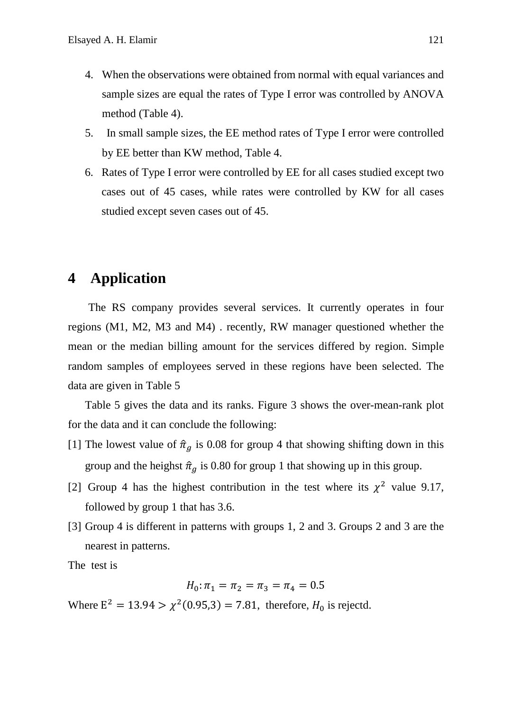- 4. When the observations were obtained from normal with equal variances and sample sizes are equal the rates of Type I error was controlled by ANOVA method (Table 4).
- 5. In small sample sizes, the EE method rates of Type I error were controlled by EE better than KW method, Table 4.
- 6. Rates of Type I error were controlled by EE for all cases studied except two cases out of 45 cases, while rates were controlled by KW for all cases studied except seven cases out of 45.

## **4 Application**

The RS company provides several services. It currently operates in four regions (M1, M2, M3 and M4) . recently, RW manager questioned whether the mean or the median billing amount for the services differed by region. Simple random samples of employees served in these regions have been selected. The data are given in Table 5

Table 5 gives the data and its ranks. Figure 3 shows the over-mean-rank plot for the data and it can conclude the following:

- [1] The lowest value of  $\hat{\pi}_q$  is 0.08 for group 4 that showing shifting down in this group and the heighst  $\hat{\pi}_g$  is 0.80 for group 1 that showing up in this group.
- [2] Group 4 has the highest contribution in the test where its  $\chi^2$  value 9.17, followed by group 1 that has 3.6.
- [3] Group 4 is different in patterns with groups 1, 2 and 3. Groups 2 and 3 are the nearest in patterns.

The test is

$$
H_0: \pi_1 = \pi_2 = \pi_3 = \pi_4 = 0.5
$$

Where  $E^2 = 13.94 > \chi^2(0.95,3) = 7.81$ , therefore,  $H_0$  is rejectd.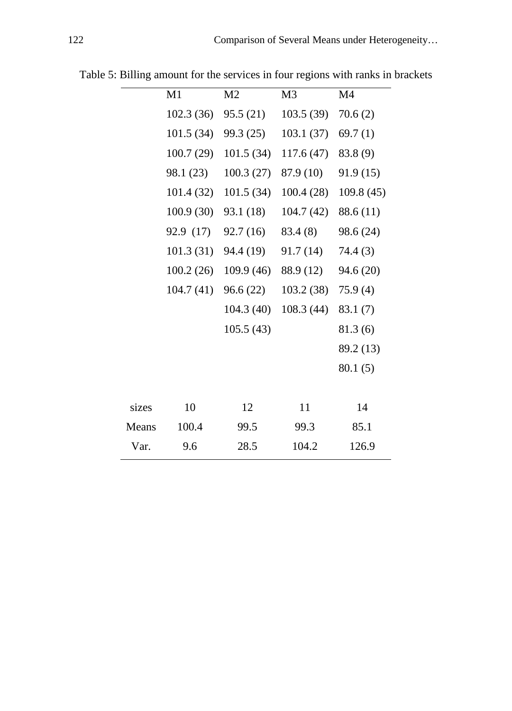|       | M1         | M <sub>2</sub> | M <sub>3</sub> | M <sub>4</sub> |
|-------|------------|----------------|----------------|----------------|
|       | 102.3(36)  | 95.5 (21)      | 103.5(39)      | 70.6(2)        |
|       | 101.5(34)  | 99.3 (25)      | 103.1(37)      | 69.7(1)        |
|       | 100.7(29)  | 101.5(34)      | 117.6(47)      | 83.8(9)        |
|       | 98.1 (23)  | 100.3(27)      | 87.9 (10)      | 91.9(15)       |
|       | 101.4 (32) | 101.5(34)      | 100.4(28)      | 109.8 (45)     |
|       | 100.9(30)  | 93.1 (18)      | 104.7(42)      | 88.6 (11)      |
|       | 92.9 (17)  | 92.7 (16)      | 83.4 (8)       | 98.6 (24)      |
|       | 101.3(31)  | 94.4 (19)      | 91.7 (14)      | 74.4(3)        |
|       | 100.2(26)  | 109.9(46)      | 88.9 (12)      | 94.6 (20)      |
|       | 104.7 (41) | 96.6(22)       | 103.2(38)      | 75.9(4)        |
|       |            | 104.3(40)      | 108.3(44)      | 83.1(7)        |
|       |            | 105.5(43)      |                | 81.3(6)        |
|       |            |                |                | 89.2 (13)      |
|       |            |                |                | 80.1(5)        |
|       |            |                |                |                |
| sizes | 10         | 12             | 11             | 14             |
| Means | 100.4      | 99.5           | 99.3           | 85.1           |
| Var.  | 9.6        | 28.5           | 104.2          | 126.9          |
|       |            |                |                |                |

Table 5: Billing amount for the services in four regions with ranks in brackets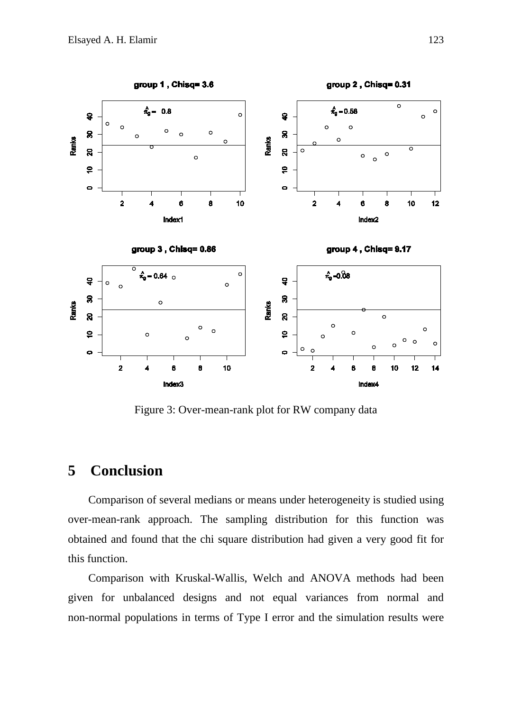

Figure 3: Over-mean-rank plot for RW company data

# **5 Conclusion**

Comparison of several medians or means under heterogeneity is studied using over-mean-rank approach. The sampling distribution for this function was obtained and found that the chi square distribution had given a very good fit for this function.

Comparison with Kruskal-Wallis, Welch and ANOVA methods had been given for unbalanced designs and not equal variances from normal and non-normal populations in terms of Type I error and the simulation results were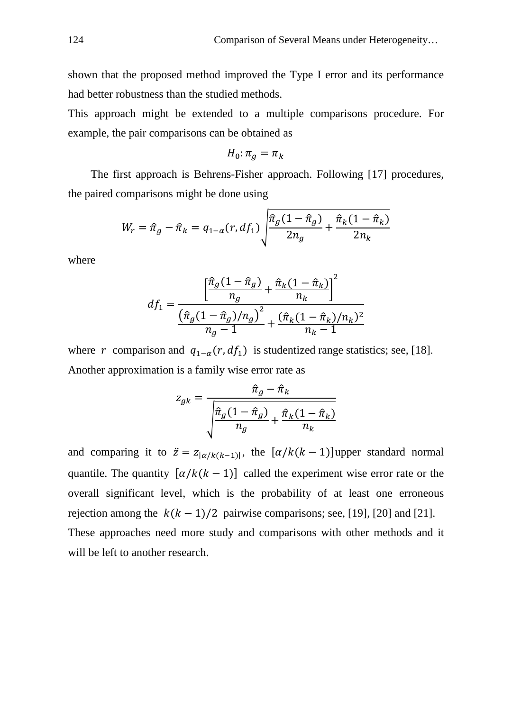shown that the proposed method improved the Type I error and its performance had better robustness than the studied methods.

This approach might be extended to a multiple comparisons procedure. For example, the pair comparisons can be obtained as

$$
H_0: \pi_g = \pi_k
$$

The first approach is Behrens-Fisher approach. Following [17] procedures, the paired comparisons might be done using

$$
W_r = \hat{\pi}_g - \hat{\pi}_k = q_{1-\alpha}(r, df_1) \sqrt{\frac{\hat{\pi}_g(1-\hat{\pi}_g)}{2n_g} + \frac{\hat{\pi}_k(1-\hat{\pi}_k)}{2n_k}}
$$

where

$$
df_1 = \frac{\left[\frac{\hat{\pi}_g(1-\hat{\pi}_g)}{n_g} + \frac{\hat{\pi}_k(1-\hat{\pi}_k)}{n_k}\right]^2}{\left(\frac{\hat{\pi}_g(1-\hat{\pi}_g)/n_g\right)^2}{n_g - 1} + \frac{(\hat{\pi}_k(1-\hat{\pi}_k)/n_k)^2}{n_k - 1}}
$$

where r comparison and  $q_{1-\alpha}(r, df_1)$  is studentized range statistics; see, [18]. Another approximation is a family wise error rate as

$$
z_{gk} = \frac{\hat{\pi}_g - \hat{\pi}_k}{\sqrt{\frac{\hat{\pi}_g(1 - \hat{\pi}_g)}{n_g} + \frac{\hat{\pi}_k(1 - \hat{\pi}_k)}{n_k}}}
$$

and comparing it to  $\ddot{z} = z_{[\alpha/k(k-1)]}$ , the  $[\alpha/k(k-1)]$ upper standard normal quantile. The quantity  $[\alpha/k(k-1)]$  called the experiment wise error rate or the overall significant level, which is the probability of at least one erroneous rejection among the  $k(k - 1)/2$  pairwise comparisons; see, [19], [20] and [21]. These approaches need more study and comparisons with other methods and it will be left to another research.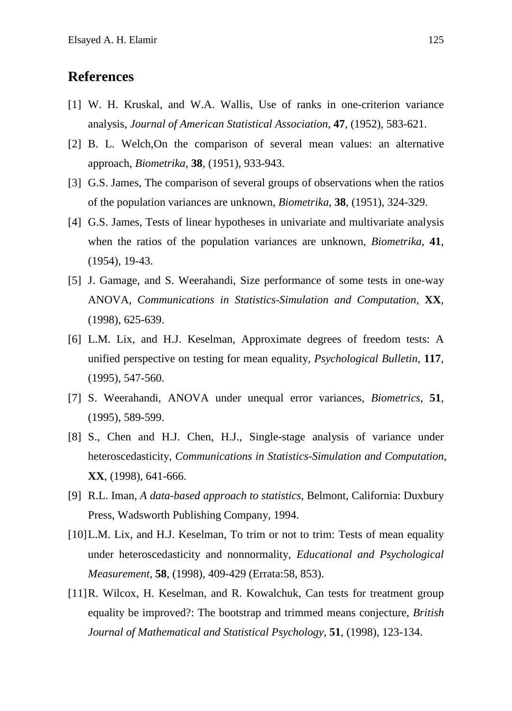## **References**

- [1] W. H. Kruskal, and W.A. Wallis, Use of ranks in one-criterion variance analysis, *Journal of American Statistical Association*, **47**, (1952), 583-621.
- [2] B. L. Welch,On the comparison of several mean values: an alternative approach, *Biometrika*, **38**, (1951), 933-943.
- [3] G.S. James, The comparison of several groups of observations when the ratios of the population variances are unknown, *Biometrika*, **38**, (1951), 324-329.
- [4] G.S. James, Tests of linear hypotheses in univariate and multivariate analysis when the ratios of the population variances are unknown, *Biometrika*, **41**, (1954), 19-43.
- [5] J. Gamage, and S. Weerahandi, Size performance of some tests in one-way ANOVA, *Communications in Statistics-Simulation and Computation*, **XX**, (1998), 625-639.
- [6] L.M. Lix, and H.J. Keselman, Approximate degrees of freedom tests: A unified perspective on testing for mean equality, *Psychological Bulletin*, **117**, (1995), 547-560.
- [7] S. Weerahandi, ANOVA under unequal error variances, *Biometrics*, **51**, (1995), 589-599.
- [8] S., Chen and H.J. Chen, H.J., Single-stage analysis of variance under heteroscedasticity, *Communications in Statistics-Simulation and Computation*, **XX**, (1998), 641-666.
- [9] R.L. Iman, *A data-based approach to statistics*, Belmont, California: Duxbury Press, Wadsworth Publishing Company, 1994.
- [10] L.M. Lix, and H.J. Keselman, To trim or not to trim: Tests of mean equality under heteroscedasticity and nonnormality, *Educational and Psychological Measurement*, **58**, (1998), 409-429 (Errata:58, 853).
- [11] R. Wilcox, H. Keselman, and R. Kowalchuk, Can tests for treatment group equality be improved?: The bootstrap and trimmed means conjecture, *British Journal of Mathematical and Statistical Psychology*, **51**, (1998), 123-134.